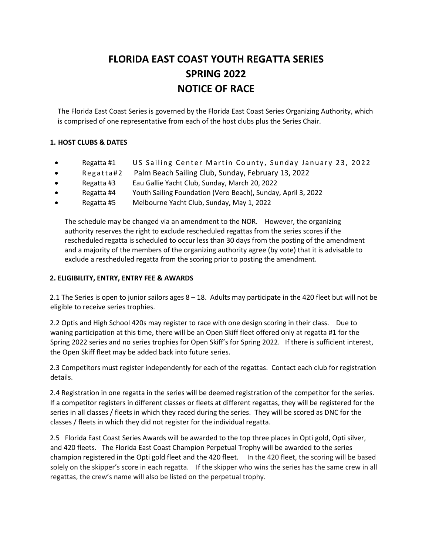# **FLORIDA EAST COAST YOUTH REGATTA SERIES SPRING 2022 NOTICE OF RACE**

The Florida East Coast Series is governed by the Florida East Coast Series Organizing Authority, which is comprised of one representative from each of the host clubs plus the Series Chair.

# **1. HOST CLUBS & DATES**

- Regatta #1 US Sailing Center Martin County, Sunday January 23, 2022
- Regatta#2 Palm Beach Sailing Club, Sunday, February 13, 2022
- Regatta #3 Eau Gallie Yacht Club, Sunday, March 20, 2022
- Regatta #4 Youth Sailing Foundation (Vero Beach), Sunday, April 3, 2022
- Regatta #5 Melbourne Yacht Club, Sunday, May 1, 2022

The schedule may be changed via an amendment to the NOR. However, the organizing authority reserves the right to exclude rescheduled regattas from the series scores if the rescheduled regatta is scheduled to occur less than 30 days from the posting of the amendment and a majority of the members of the organizing authority agree (by vote) that it is advisable to exclude a rescheduled regatta from the scoring prior to posting the amendment.

# **2. ELIGIBILITY, ENTRY, ENTRY FEE & AWARDS**

2.1 The Series is open to junior sailors ages 8 – 18. Adults may participate in the 420 fleet but will not be eligible to receive series trophies.

2.2 Optis and High School 420s may register to race with one design scoring in their class. Due to waning participation at this time, there will be an Open Skiff fleet offered only at regatta #1 for the Spring 2022 series and no series trophies for Open Skiff's for Spring 2022. If there is sufficient interest, the Open Skiff fleet may be added back into future series.

2.3 Competitors must register independently for each of the regattas. Contact each club for registration details.

2.4 Registration in one regatta in the series will be deemed registration of the competitor for the series. If a competitor registers in different classes or fleets at different regattas, they will be registered for the series in all classes / fleets in which they raced during the series. They will be scored as DNC for the classes / fleets in which they did not register for the individual regatta.

2.5 Florida East Coast Series Awards will be awarded to the top three places in Opti gold, Opti silver, and 420 fleets. The Florida East Coast Champion Perpetual Trophy will be awarded to the series champion registered in the Opti gold fleet and the 420 fleet. In the 420 fleet, the scoring will be based solely on the skipper's score in each regatta. If the skipper who wins the series has the same crew in all regattas, the crew's name will also be listed on the perpetual trophy.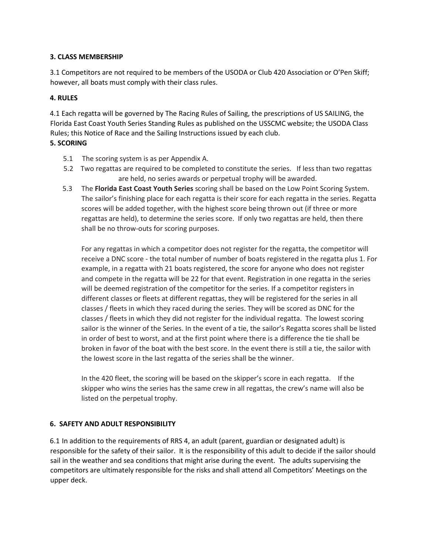## **3. CLASS MEMBERSHIP**

3.1 Competitors are not required to be members of the USODA or Club 420 Association or O'Pen Skiff; however, all boats must comply with their class rules.

## **4. RULES**

4.1 Each regatta will be governed by The Racing Rules of Sailing, the prescriptions of US SAILING, the Florida East Coast Youth Series Standing Rules as published on the USSCMC website; the USODA Class Rules; this Notice of Race and the Sailing Instructions issued by each club.

## **5. SCORING**

- 5.1 The scoring system is as per Appendix A.
- 5.2 Two regattas are required to be completed to constitute the series. If less than two regattas are held, no series awards or perpetual trophy will be awarded.
- 5.3 The **Florida East Coast Youth Series** scoring shall be based on the Low Point Scoring System. The sailor's finishing place for each regatta is their score for each regatta in the series. Regatta scores will be added together, with the highest score being thrown out (if three or more regattas are held), to determine the series score. If only two regattas are held, then there shall be no throw-outs for scoring purposes.

For any regattas in which a competitor does not register for the regatta, the competitor will receive a DNC score - the total number of number of boats registered in the regatta plus 1. For example, in a regatta with 21 boats registered, the score for anyone who does not register and compete in the regatta will be 22 for that event. Registration in one regatta in the series will be deemed registration of the competitor for the series. If a competitor registers in different classes or fleets at different regattas, they will be registered for the series in all classes / fleets in which they raced during the series. They will be scored as DNC for the classes / fleets in which they did not register for the individual regatta. The lowest scoring sailor is the winner of the Series. In the event of a tie, the sailor's Regatta scores shall be listed in order of best to worst, and at the first point where there is a difference the tie shall be broken in favor of the boat with the best score. In the event there is still a tie, the sailor with the lowest score in the last regatta of the series shall be the winner.

In the 420 fleet, the scoring will be based on the skipper's score in each regatta. If the skipper who wins the series has the same crew in all regattas, the crew's name will also be listed on the perpetual trophy.

# **6. SAFETY AND ADULT RESPONSIBILITY**

6.1 In addition to the requirements of RRS 4, an adult (parent, guardian or designated adult) is responsible for the safety of their sailor. It is the responsibility of this adult to decide if the sailor should sail in the weather and sea conditions that might arise during the event. The adults supervising the competitors are ultimately responsible for the risks and shall attend all Competitors' Meetings on the upper deck.